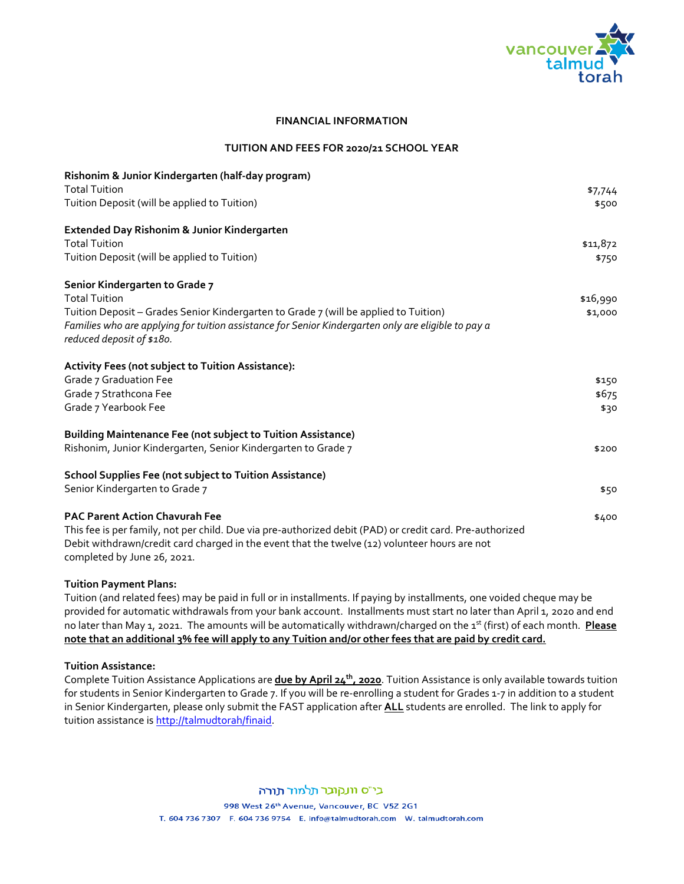

#### **FINANCIAL INFORMATION**

#### **TUITION AND FEES FOR 2020/21 SCHOOL YEAR**

| Rishonim & Junior Kindergarten (half-day program)                                                        |          |
|----------------------------------------------------------------------------------------------------------|----------|
| <b>Total Tuition</b>                                                                                     | \$7,744  |
| Tuition Deposit (will be applied to Tuition)                                                             | \$500    |
| Extended Day Rishonim & Junior Kindergarten                                                              |          |
| <b>Total Tuition</b>                                                                                     | \$11,872 |
| Tuition Deposit (will be applied to Tuition)                                                             | \$750    |
| Senior Kindergarten to Grade 7                                                                           |          |
| <b>Total Tuition</b>                                                                                     | \$16,990 |
| Tuition Deposit - Grades Senior Kindergarten to Grade 7 (will be applied to Tuition)                     | \$1,000  |
| Families who are applying for tuition assistance for Senior Kindergarten only are eligible to pay a      |          |
| reduced deposit of \$180.                                                                                |          |
| Activity Fees (not subject to Tuition Assistance):                                                       |          |
| Grade 7 Graduation Fee                                                                                   | \$150    |
| Grade 7 Strathcona Fee                                                                                   | \$675    |
| Grade 7 Yearbook Fee                                                                                     | \$30     |
| <b>Building Maintenance Fee (not subject to Tuition Assistance)</b>                                      |          |
| Rishonim, Junior Kindergarten, Senior Kindergarten to Grade 7                                            | \$200    |
| <b>School Supplies Fee (not subject to Tuition Assistance)</b>                                           |          |
| Senior Kindergarten to Grade 7                                                                           | \$50     |
| <b>PAC Parent Action Chavurah Fee</b>                                                                    | \$400    |
| This fee is per family, not per child. Due via pre-authorized debit (PAD) or credit card. Pre-authorized |          |
| Debit withdrawn/credit card charged in the event that the twelve (12) volunteer hours are not            |          |
| completed by June 26, 2021.                                                                              |          |

#### **Tuition Payment Plans:**

Tuition (and related fees) may be paid in full or in installments. If paying by installments, one voided cheque may be provided for automatic withdrawals from your bank account. Installments must start no later than April 1, 2020 and end no later than May 1, 2021. The amounts will be automatically withdrawn/charged on the 1st (first) of each month. **Please note that an additional 3% fee will apply to any Tuition and/or other fees that are paid by credit card.** 

### **Tuition Assistance:**

Complete Tuition Assistance Applications are **due by April 24<sup>th</sup>, 2020**. Tuition Assistance is only available towards tuition for students in Senior Kindergarten to Grade 7. If you will be re-enrolling a student for Grades 1-7 in addition to a student in Senior Kindergarten, please only submit the FAST application after **ALL** students are enrolled. The link to apply for tuition assistance is http://talmudtorah/finaid.

# בי״ס וונקובר תלמוד תורה

998 West 26th Avenue, Vancouver, BC V5Z 2G1 T. 604 736 7307 F. 604 736 9754 E. info@talmudtorah.com W. talmudtorah.com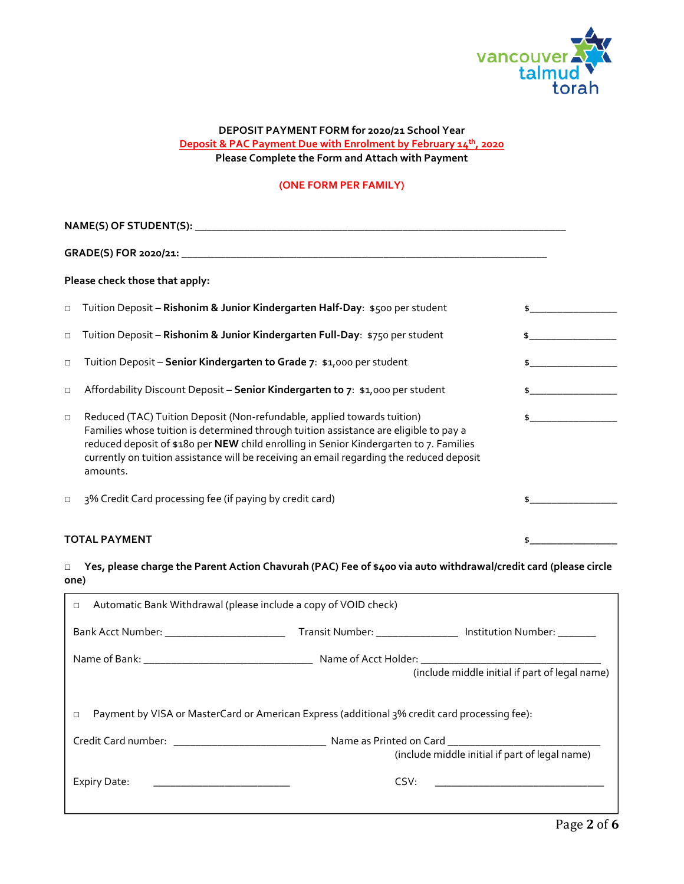

# **DEPOSIT PAYMENT FORM for 2020/21 School Year Deposit & PAC Payment Due with Enrolment by February 14<sup>th</sup>, 2020 Please Complete the Form and Attach with Payment**

## **(ONE FORM PER FAMILY)**

|        | Please check those that apply:                                                                                                                                                                                                                                                                                                                                     |    |
|--------|--------------------------------------------------------------------------------------------------------------------------------------------------------------------------------------------------------------------------------------------------------------------------------------------------------------------------------------------------------------------|----|
| $\Box$ | Tuition Deposit - Rishonim & Junior Kindergarten Half-Day: \$500 per student                                                                                                                                                                                                                                                                                       |    |
| $\Box$ | Tuition Deposit - Rishonim & Junior Kindergarten Full-Day: \$750 per student                                                                                                                                                                                                                                                                                       |    |
| $\Box$ | Tuition Deposit - Senior Kindergarten to Grade 7: \$1,000 per student                                                                                                                                                                                                                                                                                              |    |
| $\Box$ | Affordability Discount Deposit - Senior Kindergarten to 7: \$1,000 per student                                                                                                                                                                                                                                                                                     |    |
| $\Box$ | Reduced (TAC) Tuition Deposit (Non-refundable, applied towards tuition)<br>Families whose tuition is determined through tuition assistance are eligible to pay a<br>reduced deposit of \$180 per NEW child enrolling in Senior Kindergarten to 7. Families<br>currently on tuition assistance will be receiving an email regarding the reduced deposit<br>amounts. |    |
| $\Box$ | 3% Credit Card processing fee (if paying by credit card)                                                                                                                                                                                                                                                                                                           | \$ |
|        | <b>TOTAL PAYMENT</b>                                                                                                                                                                                                                                                                                                                                               | \$ |

# □ **Yes, please charge the Parent Action Chavurah (PAC) Fee of \$400 via auto withdrawal/credit card (please circle one)**

| Automatic Bank Withdrawal (please include a copy of VOID check)<br>□                               |                                                              |
|----------------------------------------------------------------------------------------------------|--------------------------------------------------------------|
| Bank Acct Number: ___________________________                                                      | Transit Number: ________________ Institution Number: _______ |
|                                                                                                    |                                                              |
|                                                                                                    | (include middle initial if part of legal name)               |
| Payment by VISA or MasterCard or American Express (additional 3% credit card processing fee):<br>□ | (include middle initial if part of legal name)               |
|                                                                                                    |                                                              |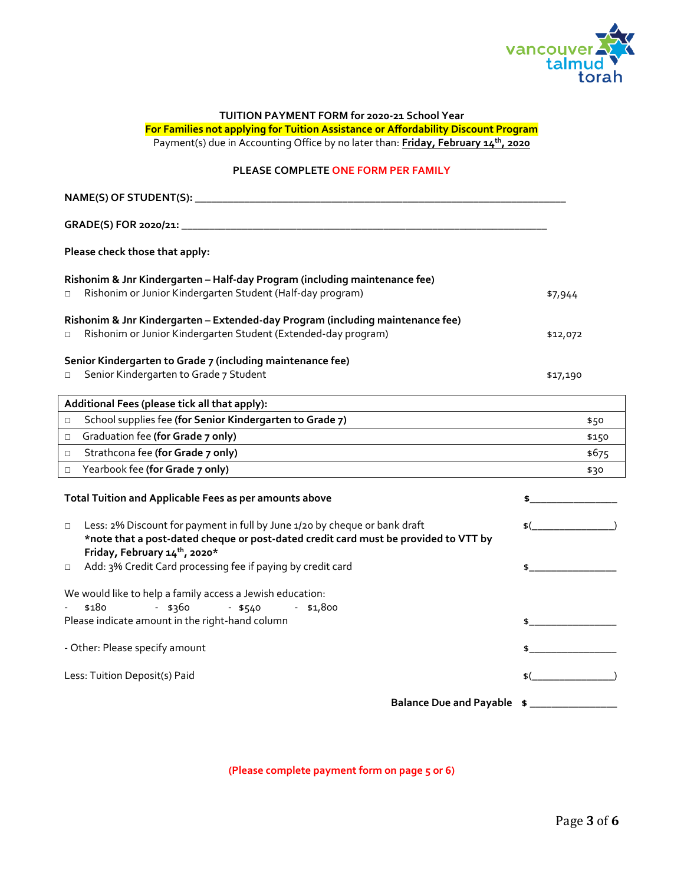

## **TUITION PAYMENT FORM for 2020-21 School Year For Families not applying for Tuition Assistance or Affordability Discount Program**  Payment(s) due in Accounting Office by no later than: **Friday, February 14th, 2020**

# **PLEASE COMPLETE ONE FORM PER FAMILY**

| Please check those that apply:                                                                                                                                              |                 |
|-----------------------------------------------------------------------------------------------------------------------------------------------------------------------------|-----------------|
| Rishonim & Jnr Kindergarten - Half-day Program (including maintenance fee)                                                                                                  |                 |
| Rishonim or Junior Kindergarten Student (Half-day program)<br>□                                                                                                             | \$7,944         |
| Rishonim & Jnr Kindergarten - Extended-day Program (including maintenance fee)                                                                                              |                 |
| Rishonim or Junior Kindergarten Student (Extended-day program)<br>$\Box$                                                                                                    | \$12,072        |
| Senior Kindergarten to Grade 7 (including maintenance fee)                                                                                                                  |                 |
| Senior Kindergarten to Grade 7 Student<br>$\Box$                                                                                                                            | \$17,190        |
|                                                                                                                                                                             |                 |
| Additional Fees (please tick all that apply):                                                                                                                               |                 |
| School supplies fee (for Senior Kindergarten to Grade 7)<br>$\Box$                                                                                                          | \$50            |
| Graduation fee (for Grade 7 only)<br>$\Box$                                                                                                                                 | \$150           |
| Strathcona fee (for Grade 7 only)<br>$\Box$<br><u> 1989 - John Stein, marking and de Brazilian (b. 1989)</u>                                                                | \$675           |
| Yearbook fee (for Grade 7 only)<br>$\Box$                                                                                                                                   | \$30            |
| Total Tuition and Applicable Fees as per amounts above                                                                                                                      | \$              |
| Less: 2% Discount for payment in full by June 1/20 by cheque or bank draft<br>$\Box$<br>*note that a post-dated cheque or post-dated credit card must be provided to VTT by | \$(             |
| Friday, February 14th, 2020*                                                                                                                                                |                 |
| Add: 3% Credit Card processing fee if paying by credit card<br>$\Box$                                                                                                       | $\frac{1}{2}$   |
| We would like to help a family access a Jewish education:                                                                                                                   |                 |
| \$180<br>- \$360<br>$-$ \$540<br>- \$1,800                                                                                                                                  |                 |
| Please indicate amount in the right-hand column                                                                                                                             | $\frac{1}{2}$   |
| - Other: Please specify amount                                                                                                                                              | $\frac{1}{2}$   |
| Less: Tuition Deposit(s) Paid                                                                                                                                               | $\frac{1}{2}$ ( |
| Balance Due and Payable \$                                                                                                                                                  |                 |

**(Please complete payment form on page 5 or 6)**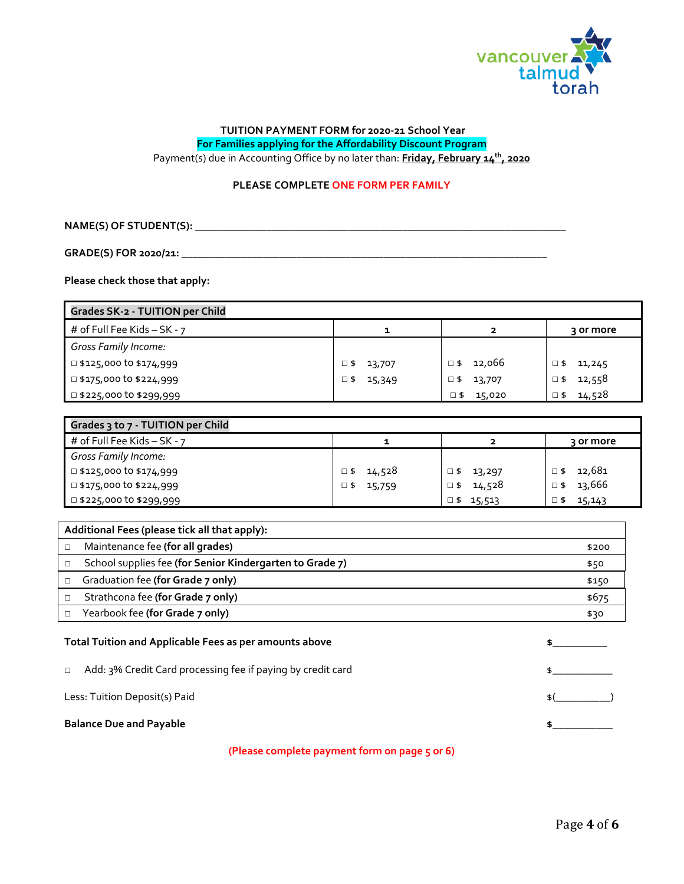

# **TUITION PAYMENT FORM for 2020-21 School Year For Families applying for the Affordability Discount Program**

Payment(s) due in Accounting Office by no later than: **Friday, February 14<sup>th</sup>, 2020** 

# **PLEASE COMPLETE ONE FORM PER FAMILY**

**NAME(S) OF STUDENT(S):** \_\_\_\_\_\_\_\_\_\_\_\_\_\_\_\_\_\_\_\_\_\_\_\_\_\_\_\_\_\_\_\_\_\_\_\_\_\_\_\_\_\_\_\_\_\_\_\_\_\_\_\_\_\_\_\_\_\_\_\_\_\_\_\_\_\_\_\_

**GRADE(S) FOR 2020/21:** \_\_\_\_\_\_\_\_\_\_\_\_\_\_\_\_\_\_\_\_\_\_\_\_\_\_\_\_\_\_\_\_\_\_\_\_\_\_\_\_\_\_\_\_\_\_\_\_\_\_\_\_\_\_\_\_\_\_\_\_\_\_\_\_\_\_\_

**Please check those that apply:** 

| <b>Grades SK-2 - TUITION per Child</b> |                  |                        |                        |
|----------------------------------------|------------------|------------------------|------------------------|
| # of Full Fee Kids $-$ SK - $7$        | 1                | 2                      | ३ or more              |
| Gross Family Income:                   |                  |                        |                        |
| $\Box$ \$125,000 to \$174,999          | $\Box$ \$ 13,707 | $\Box$ \$ 12,066       | ב ⊐<br>11,245          |
| □ \$175,000 t0 \$224,999               | $\Box$ \$ 15,349 | $\Box$ \$ 13,707       | 12,558<br>$\square$ \$ |
| 1 \$225,000 to \$299,999               |                  | $\square$ \$<br>15,020 | 14,528<br>$\square$ \$ |

| Grades 3 to 7 - TUITION per Child |                |                  |                |
|-----------------------------------|----------------|------------------|----------------|
| # of Full Fee Kids $-$ SK - $7$   |                |                  | ३ or more      |
| <b>Gross Family Income:</b>       |                |                  |                |
| $\Box$ \$125,000 to \$174,999     | 14,528<br>ב ⊟  | $\Box$ \$ 13,297 | 12,681<br>ב ⊡  |
| □ \$175,000 to \$224,999          | ⊡ \$<br>15,759 | 14,528<br>□ \$   | 13,666<br>. \$ |
| $\Box$ \$225,000 to \$299,999     |                | $\Box$ \$ 15,513 | 15,143<br>ב ⊡  |

| Additional Fees (please tick all that apply): |                                                          |       |
|-----------------------------------------------|----------------------------------------------------------|-------|
|                                               | Maintenance fee (for all grades)                         | \$200 |
|                                               | School supplies fee (for Senior Kindergarten to Grade 7) | \$50  |
|                                               | Graduation fee (for Grade 7 only)                        | \$150 |
|                                               | Strathcona fee (for Grade 7 only)                        | \$675 |
|                                               | Yearbook fee (for Grade 7 only)                          | \$30  |
|                                               |                                                          |       |

## Total Tuition and Applicable Fees as per amounts above **the set of the set of the set of the set of the set of the set of the set of the set of the set of the set of the set of the set of the set of the set of the set of t**

|  |  | □ Add: 3% Credit Card processing fee if paying by credit card |
|--|--|---------------------------------------------------------------|
|--|--|---------------------------------------------------------------|

Less: Tuition Deposit(s) Paid  $\mathcal{L}$  Paid

### Balance Due and Payable **\$\_\_\_\_\_\_\_\_\_\_ \$\_\_\_\_\_\_\_\_\_\_**

**(Please complete payment form on page 5 or 6)** 

 $$_{\_{}^{\$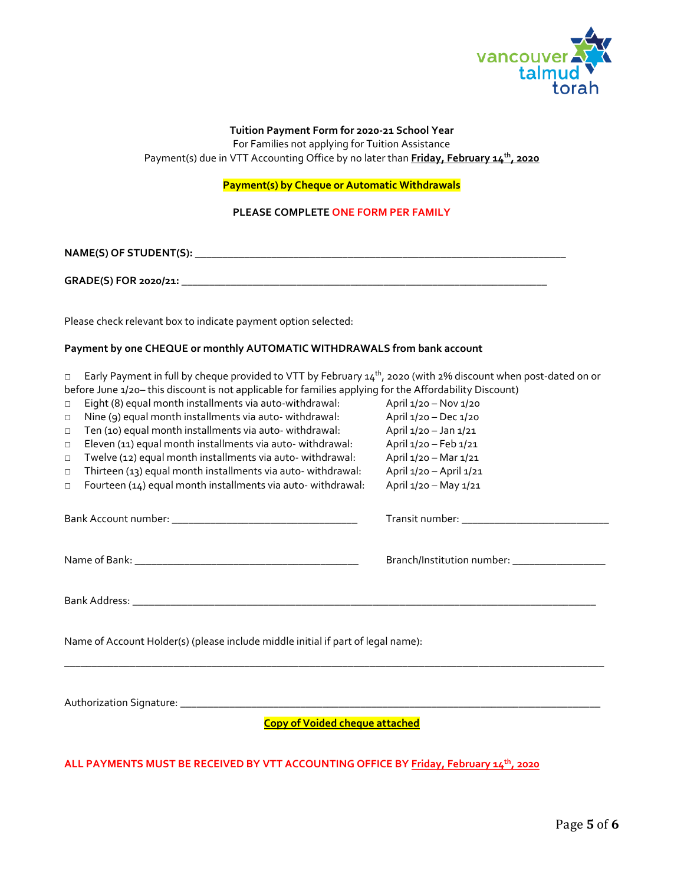

### **Tuition Payment Form for 2020-21 School Year**

For Families not applying for Tuition Assistance Payment(s) due in VTT Accounting Office by no later than **Friday, February 14<sup>th</sup>, 2020** 

**Payment(s) by Cheque or Automatic Withdrawals** 

**PLEASE COMPLETE ONE FORM PER FAMILY**

**NAME(S) OF STUDENT(S):** \_\_\_\_\_\_\_\_\_\_\_\_\_\_\_\_\_\_\_\_\_\_\_\_\_\_\_\_\_\_\_\_\_\_\_\_\_\_\_\_\_\_\_\_\_\_\_\_\_\_\_\_\_\_\_\_\_\_\_\_\_\_\_\_\_\_\_\_

**GRADE(S) FOR 2020/21:** \_\_\_\_\_\_\_\_\_\_\_\_\_\_\_\_\_\_\_\_\_\_\_\_\_\_\_\_\_\_\_\_\_\_\_\_\_\_\_\_\_\_\_\_\_\_\_\_\_\_\_\_\_\_\_\_\_\_\_\_\_\_\_\_\_\_\_

Please check relevant box to indicate payment option selected:

#### **Payment by one CHEQUE or monthly AUTOMATIC WITHDRAWALS from bank account**

 $\Box$  Early Payment in full by cheque provided to VTT by February 14<sup>th</sup>, 2020 (with 2% discount when post-dated on or before June 1/20– this discount is not applicable for families applying for the Affordability Discount)

- □ Eight (8) equal month installments via auto-withdrawal: April 1/20 Nov 1/20
- □ Nine (9) equal month installments via auto- withdrawal: April 1/20 Dec 1/20
- □ Ten (10) equal month installments via auto- withdrawal: April 1/20 Jan 1/21
- □ Eleven (11) equal month installments via auto- withdrawal: April 1/20 Feb 1/21
- □ Twelve (12) equal month installments via auto- withdrawal: April 1/20 Mar 1/21
- □ Thirteen (13) equal month installments via auto- withdrawal: April 1/20 April 1/21
- □ Fourteen (14) equal month installments via auto- withdrawal: April 1/20 May 1/21

Bank Account number: \_\_\_\_\_\_\_\_\_\_\_\_\_\_\_\_\_\_\_\_\_\_\_\_\_\_\_\_\_\_\_\_\_\_ Transit number: \_\_\_\_\_\_\_\_\_\_\_\_\_\_\_\_\_\_\_\_\_\_\_\_\_\_\_

Name of Bank: \_\_\_\_\_\_\_\_\_\_\_\_\_\_\_\_\_\_\_\_\_\_\_\_\_\_\_\_\_\_\_\_\_\_\_\_\_\_\_\_\_ Branch/Institution number: \_\_\_\_\_\_\_\_\_\_\_\_\_\_\_\_\_

Bank Address: \_\_\_\_\_\_\_\_\_\_\_\_\_\_\_\_\_\_\_\_\_\_\_\_\_\_\_\_\_\_\_\_\_\_\_\_\_\_\_\_\_\_\_\_\_\_\_\_\_\_\_\_\_\_\_\_\_\_\_\_\_\_\_\_\_\_\_\_\_\_\_\_\_\_\_\_\_\_\_\_\_\_\_\_\_

Name of Account Holder(s) (please include middle initial if part of legal name):

Authorization Signature: \_\_\_\_\_\_\_\_\_\_\_\_\_\_\_\_\_\_\_\_\_\_\_\_\_\_\_\_\_\_\_\_\_\_\_\_\_\_\_\_\_\_\_\_\_\_\_\_\_\_\_\_\_\_\_\_\_\_\_\_\_\_\_\_\_\_\_\_\_\_\_\_\_\_\_\_\_

**Copy of Voided cheque attached** 

\_\_\_\_\_\_\_\_\_\_\_\_\_\_\_\_\_\_\_\_\_\_\_\_\_\_\_\_\_\_\_\_\_\_\_\_\_\_\_\_\_\_\_\_\_\_\_\_\_\_\_\_\_\_\_\_\_\_\_\_\_\_\_\_\_\_\_\_\_\_\_\_\_\_\_\_\_\_\_\_\_\_\_\_\_\_\_\_\_\_\_\_\_\_\_\_\_\_\_

**ALL PAYMENTS MUST BE RECEIVED BY VTT ACCOUNTING OFFICE BY Friday, February 14th, 2020**